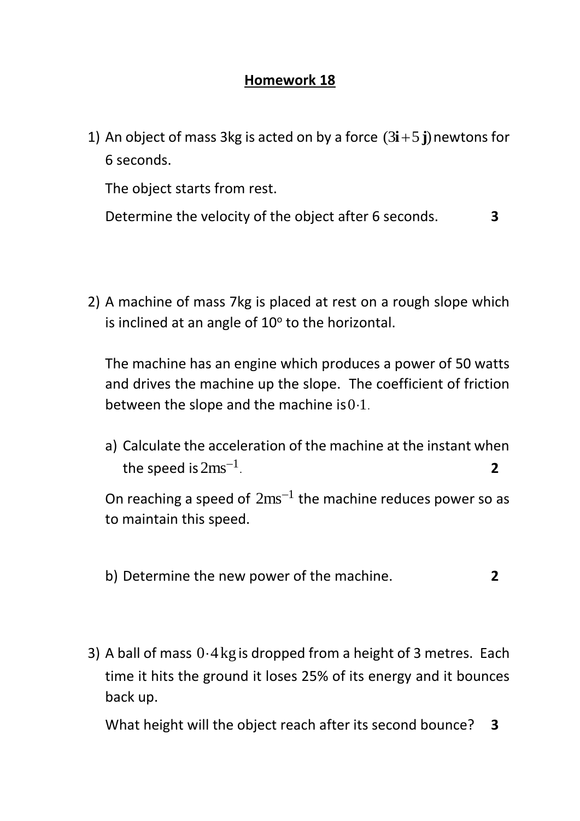## **Homework 18**

1) An object of mass 3kg is acted on by a force  $(3i+5j)$  newtons for 6 seconds.

The object starts from rest.

Determine the velocity of the object after 6 seconds. **3**

2) A machine of mass 7kg is placed at rest on a rough slope which is inclined at an angle of 10° to the horizontal.

The machine has an engine which produces a power of 50 watts and drives the machine up the slope. The coefficient of friction between the slope and the machine is  $0.1$ .

a) Calculate the acceleration of the machine at the instant when the speed is  $2\text{ms}^{-1}$ . **2**

On reaching a speed of  $2ms^{-1}$  the machine reduces power so as to maintain this speed.

- b) Determine the new power of the machine. **2**
- 3) A ball of mass  $0.4$  kg is dropped from a height of 3 metres. Each time it hits the ground it loses 25% of its energy and it bounces back up.

What height will the object reach after its second bounce? **3**